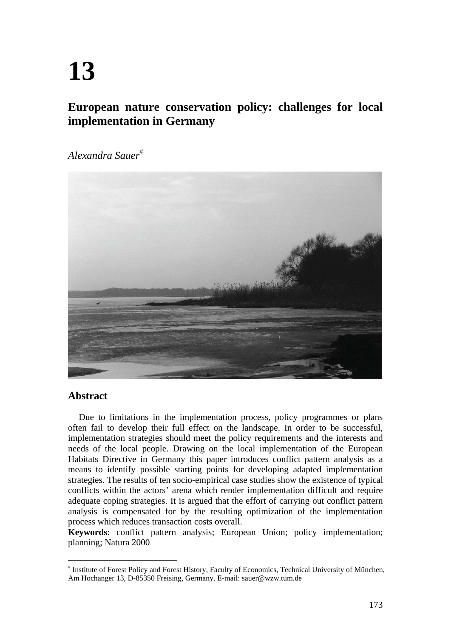# **13**

# **European nature conservation policy: challenges for local implementation in Germany**

*Alexandra Sauer*



# **Abstract**

Due to limitations in the implementation process, policy programmes or plans often fail to develop their full effect on the landscape. In order to be successful, implementation strategies should meet the policy requirements and the interests and needs of the local people. Drawing on the local implementation of the European Habitats Directive in Germany this paper introduces conflict pattern analysis as a means to identify possible starting points for developing adapted implementation strategies. The results of ten socio-empirical case studies show the existence of typical conflicts within the actors' arena which render implementation difficult and require adequate coping strategies. It is argued that the effort of carrying out conflict pattern analysis is compensated for by the resulting optimization of the implementation process which reduces transaction costs overall.

**Keywords**: conflict pattern analysis; European Union; policy implementation; planning; Natura 2000

 Institute of Forest Policy and Forest History, Faculty of Economics, Technical University of München, Am Hochanger 13, D-85350 Freising, Germany. E-mail: sauer@wzw.tum.de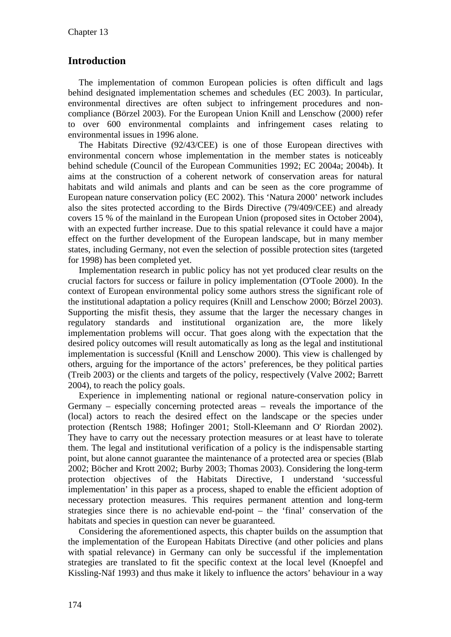# **Introduction**

The implementation of common European policies is often difficult and lags behind designated implementation schemes and schedules (EC 2003). In particular, environmental directives are often subject to infringement procedures and noncompliance (Börzel 2003). For the European Union Knill and Lenschow (2000) refer to over 600 environmental complaints and infringement cases relating to environmental issues in 1996 alone.

The Habitats Directive (92/43/CEE) is one of those European directives with environmental concern whose implementation in the member states is noticeably behind schedule (Council of the European Communities 1992; EC 2004a; 2004b). It aims at the construction of a coherent network of conservation areas for natural habitats and wild animals and plants and can be seen as the core programme of European nature conservation policy (EC 2002). This 'Natura 2000' network includes also the sites protected according to the Birds Directive (79/409/CEE) and already covers 15 % of the mainland in the European Union (proposed sites in October 2004), with an expected further increase. Due to this spatial relevance it could have a major effect on the further development of the European landscape, but in many member states, including Germany, not even the selection of possible protection sites (targeted for 1998) has been completed yet.

Implementation research in public policy has not yet produced clear results on the crucial factors for success or failure in policy implementation (O'Toole 2000). In the context of European environmental policy some authors stress the significant role of the institutional adaptation a policy requires (Knill and Lenschow 2000; Börzel 2003). Supporting the misfit thesis, they assume that the larger the necessary changes in regulatory standards and institutional organization are, the more likely implementation problems will occur. That goes along with the expectation that the desired policy outcomes will result automatically as long as the legal and institutional implementation is successful (Knill and Lenschow 2000). This view is challenged by others, arguing for the importance of the actors' preferences, be they political parties (Treib 2003) or the clients and targets of the policy, respectively (Valve 2002; Barrett 2004), to reach the policy goals.

Experience in implementing national or regional nature-conservation policy in Germany – especially concerning protected areas – reveals the importance of the (local) actors to reach the desired effect on the landscape or the species under protection (Rentsch 1988; Hofinger 2001; Stoll-Kleemann and O' Riordan 2002). They have to carry out the necessary protection measures or at least have to tolerate them. The legal and institutional verification of a policy is the indispensable starting point, but alone cannot guarantee the maintenance of a protected area or species (Blab 2002; Böcher and Krott 2002; Burby 2003; Thomas 2003). Considering the long-term protection objectives of the Habitats Directive, I understand 'successful implementation' in this paper as a process, shaped to enable the efficient adoption of necessary protection measures. This requires permanent attention and long-term strategies since there is no achievable end-point – the 'final' conservation of the habitats and species in question can never be guaranteed.

Considering the aforementioned aspects, this chapter builds on the assumption that the implementation of the European Habitats Directive (and other policies and plans with spatial relevance) in Germany can only be successful if the implementation strategies are translated to fit the specific context at the local level (Knoepfel and Kissling-Näf 1993) and thus make it likely to influence the actors' behaviour in a way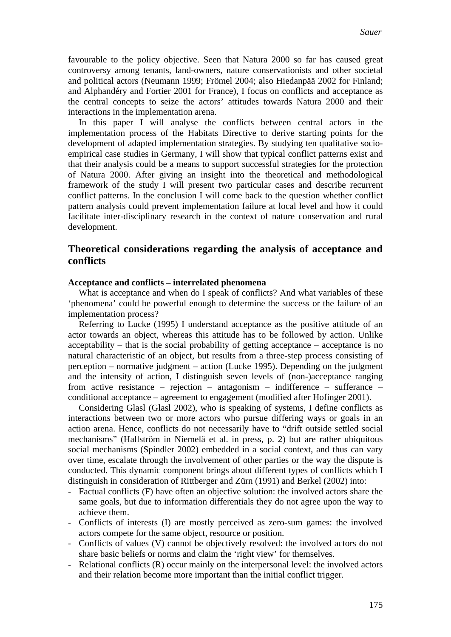favourable to the policy objective. Seen that Natura 2000 so far has caused great controversy among tenants, land-owners, nature conservationists and other societal and political actors (Neumann 1999; Frömel 2004; also Hiedanpää 2002 for Finland; and Alphandéry and Fortier 2001 for France), I focus on conflicts and acceptance as the central concepts to seize the actors' attitudes towards Natura 2000 and their interactions in the implementation arena.

In this paper I will analyse the conflicts between central actors in the implementation process of the Habitats Directive to derive starting points for the development of adapted implementation strategies. By studying ten qualitative socioempirical case studies in Germany, I will show that typical conflict patterns exist and that their analysis could be a means to support successful strategies for the protection of Natura 2000. After giving an insight into the theoretical and methodological framework of the study I will present two particular cases and describe recurrent conflict patterns. In the conclusion I will come back to the question whether conflict pattern analysis could prevent implementation failure at local level and how it could facilitate inter-disciplinary research in the context of nature conservation and rural development.

# **Theoretical considerations regarding the analysis of acceptance and conflicts**

#### **Acceptance and conflicts – interrelated phenomena**

What is acceptance and when do I speak of conflicts? And what variables of these 'phenomena' could be powerful enough to determine the success or the failure of an implementation process?

Referring to Lucke (1995) I understand acceptance as the positive attitude of an actor towards an object, whereas this attitude has to be followed by action. Unlike acceptability – that is the social probability of getting acceptance – acceptance is no natural characteristic of an object, but results from a three-step process consisting of perception – normative judgment – action (Lucke 1995). Depending on the judgment and the intensity of action, I distinguish seven levels of (non-)acceptance ranging from active resistance – rejection – antagonism – indifference – sufferance – conditional acceptance – agreement to engagement (modified after Hofinger 2001).

Considering Glasl (Glasl 2002), who is speaking of systems, I define conflicts as interactions between two or more actors who pursue differing ways or goals in an action arena. Hence, conflicts do not necessarily have to "drift outside settled social mechanisms" (Hallström in Niemelä et al. in press, p. 2) but are rather ubiquitous social mechanisms (Spindler 2002) embedded in a social context, and thus can vary over time, escalate through the involvement of other parties or the way the dispute is conducted. This dynamic component brings about different types of conflicts which I distinguish in consideration of Rittberger and Zürn (1991) and Berkel (2002) into:

- Factual conflicts (F) have often an objective solution: the involved actors share the same goals, but due to information differentials they do not agree upon the way to achieve them.
- Conflicts of interests (I) are mostly perceived as zero-sum games: the involved actors compete for the same object, resource or position.
- Conflicts of values (V) cannot be objectively resolved: the involved actors do not share basic beliefs or norms and claim the 'right view' for themselves.
- Relational conflicts (R) occur mainly on the interpersonal level: the involved actors and their relation become more important than the initial conflict trigger.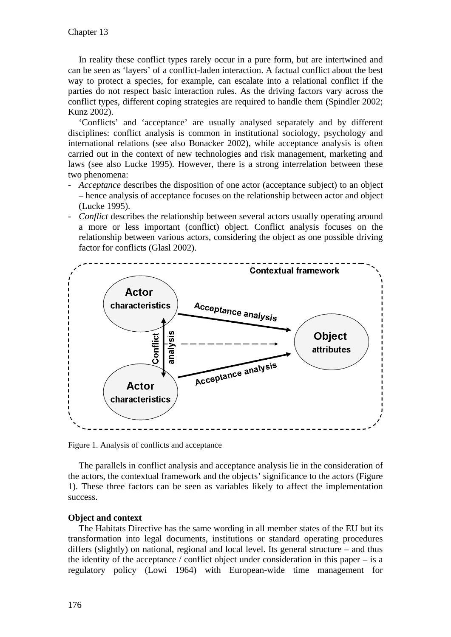In reality these conflict types rarely occur in a pure form, but are intertwined and can be seen as 'layers' of a conflict-laden interaction. A factual conflict about the best way to protect a species, for example, can escalate into a relational conflict if the parties do not respect basic interaction rules. As the driving factors vary across the conflict types, different coping strategies are required to handle them (Spindler 2002; Kunz 2002).

'Conflicts' and 'acceptance' are usually analysed separately and by different disciplines: conflict analysis is common in institutional sociology, psychology and international relations (see also Bonacker 2002), while acceptance analysis is often carried out in the context of new technologies and risk management, marketing and laws (see also Lucke 1995). However, there is a strong interrelation between these two phenomena:

- Acceptance describes the disposition of one actor (acceptance subject) to an object – hence analysis of acceptance focuses on the relationship between actor and object (Lucke 1995).
- *Conflict* describes the relationship between several actors usually operating around a more or less important (conflict) object. Conflict analysis focuses on the relationship between various actors, considering the object as one possible driving factor for conflicts (Glasl 2002).



Figure 1. Analysis of conflicts and acceptance

The parallels in conflict analysis and acceptance analysis lie in the consideration of the actors, the contextual framework and the objects' significance to the actors (Figure 1). These three factors can be seen as variables likely to affect the implementation success.

#### **Object and context**

The Habitats Directive has the same wording in all member states of the EU but its transformation into legal documents, institutions or standard operating procedures differs (slightly) on national, regional and local level. Its general structure – and thus the identity of the acceptance / conflict object under consideration in this paper – is a regulatory policy (Lowi 1964) with European-wide time management for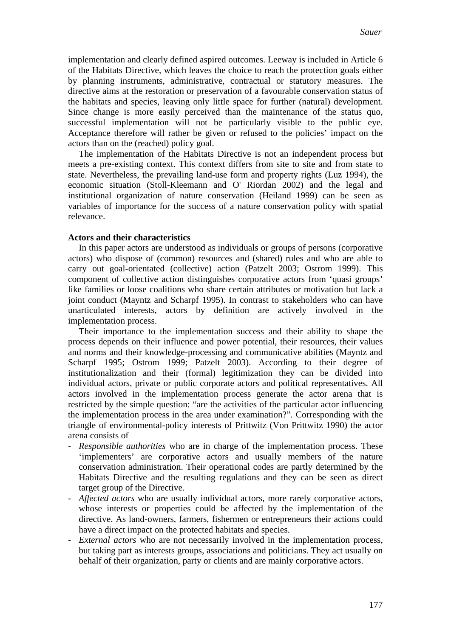implementation and clearly defined aspired outcomes. Leeway is included in Article 6 of the Habitats Directive, which leaves the choice to reach the protection goals either by planning instruments, administrative, contractual or statutory measures. The directive aims at the restoration or preservation of a favourable conservation status of the habitats and species, leaving only little space for further (natural) development. Since change is more easily perceived than the maintenance of the status quo, successful implementation will not be particularly visible to the public eye. Acceptance therefore will rather be given or refused to the policies' impact on the actors than on the (reached) policy goal.

The implementation of the Habitats Directive is not an independent process but meets a pre-existing context. This context differs from site to site and from state to state. Nevertheless, the prevailing land-use form and property rights (Luz 1994), the economic situation (Stoll-Kleemann and O' Riordan 2002) and the legal and institutional organization of nature conservation (Heiland 1999) can be seen as variables of importance for the success of a nature conservation policy with spatial relevance.

#### **Actors and their characteristics**

In this paper actors are understood as individuals or groups of persons (corporative actors) who dispose of (common) resources and (shared) rules and who are able to carry out goal-orientated (collective) action (Patzelt 2003; Ostrom 1999). This component of collective action distinguishes corporative actors from 'quasi groups' like families or loose coalitions who share certain attributes or motivation but lack a joint conduct (Mayntz and Scharpf 1995). In contrast to stakeholders who can have unarticulated interests, actors by definition are actively involved in the implementation process.

Their importance to the implementation success and their ability to shape the process depends on their influence and power potential, their resources, their values and norms and their knowledge-processing and communicative abilities (Mayntz and Scharpf 1995; Ostrom 1999; Patzelt 2003). According to their degree of institutionalization and their (formal) legitimization they can be divided into individual actors, private or public corporate actors and political representatives. All actors involved in the implementation process generate the actor arena that is restricted by the simple question: "are the activities of the particular actor influencing the implementation process in the area under examination?". Corresponding with the triangle of environmental-policy interests of Prittwitz (Von Prittwitz 1990) the actor arena consists of

- *Responsible authorities* who are in charge of the implementation process. These 'implementers' are corporative actors and usually members of the nature conservation administration. Their operational codes are partly determined by the Habitats Directive and the resulting regulations and they can be seen as direct target group of the Directive.
- *Affected actors* who are usually individual actors, more rarely corporative actors, whose interests or properties could be affected by the implementation of the directive. As land-owners, farmers, fishermen or entrepreneurs their actions could have a direct impact on the protected habitats and species.
- *External actors* who are not necessarily involved in the implementation process, but taking part as interests groups, associations and politicians. They act usually on behalf of their organization, party or clients and are mainly corporative actors.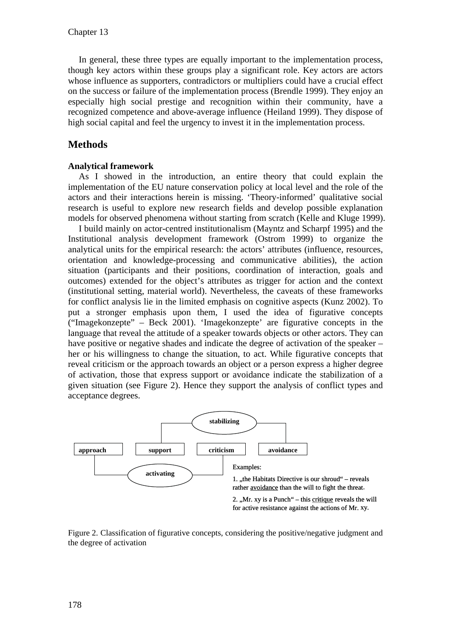In general, these three types are equally important to the implementation process, though key actors within these groups play a significant role. Key actors are actors whose influence as supporters, contradictors or multipliers could have a crucial effect on the success or failure of the implementation process (Brendle 1999). They enjoy an especially high social prestige and recognition within their community, have a recognized competence and above-average influence (Heiland 1999). They dispose of high social capital and feel the urgency to invest it in the implementation process.

# **Methods**

### **Analytical framework**

As I showed in the introduction, an entire theory that could explain the implementation of the EU nature conservation policy at local level and the role of the actors and their interactions herein is missing. 'Theory-informed' qualitative social research is useful to explore new research fields and develop possible explanation models for observed phenomena without starting from scratch (Kelle and Kluge 1999).

I build mainly on actor-centred institutionalism (Mayntz and Scharpf 1995) and the Institutional analysis development framework (Ostrom 1999) to organize the analytical units for the empirical research: the actors' attributes (influence, resources, orientation and knowledge-processing and communicative abilities), the action situation (participants and their positions, coordination of interaction, goals and outcomes) extended for the object's attributes as trigger for action and the context (institutional setting, material world). Nevertheless, the caveats of these frameworks for conflict analysis lie in the limited emphasis on cognitive aspects (Kunz 2002). To put a stronger emphasis upon them, I used the idea of figurative concepts ("Imagekonzepte" – Beck 2001). 'Imagekonzepte' are figurative concepts in the language that reveal the attitude of a speaker towards objects or other actors. They can have positive or negative shades and indicate the degree of activation of the speaker – her or his willingness to change the situation, to act. While figurative concepts that reveal criticism or the approach towards an object or a person express a higher degree of activation, those that express support or avoidance indicate the stabilization of a given situation (see Figure 2). Hence they support the analysis of conflict types and acceptance degrees.



Figure 2. Classification of figurative concepts, considering the positive/negative judgment and the degree of activation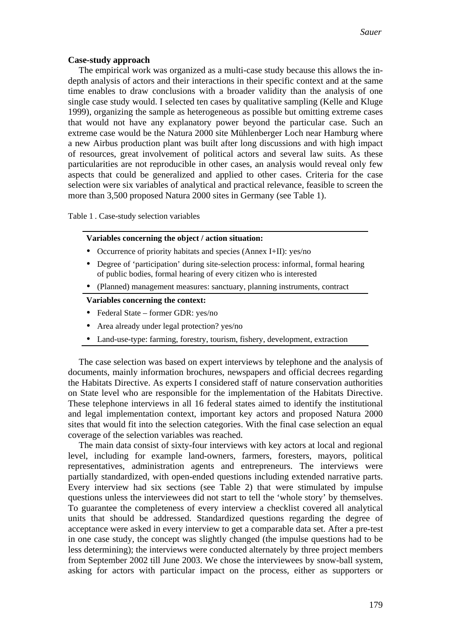#### **Case-study approach**

The empirical work was organized as a multi-case study because this allows the indepth analysis of actors and their interactions in their specific context and at the same time enables to draw conclusions with a broader validity than the analysis of one single case study would. I selected ten cases by qualitative sampling (Kelle and Kluge 1999), organizing the sample as heterogeneous as possible but omitting extreme cases that would not have any explanatory power beyond the particular case. Such an extreme case would be the Natura 2000 site Mühlenberger Loch near Hamburg where a new Airbus production plant was built after long discussions and with high impact of resources, great involvement of political actors and several law suits. As these particularities are not reproducible in other cases, an analysis would reveal only few aspects that could be generalized and applied to other cases. Criteria for the case selection were six variables of analytical and practical relevance, feasible to screen the more than 3,500 proposed Natura 2000 sites in Germany (see Table 1).

Table 1 . Case-study selection variables

#### **Variables concerning the object / action situation:**

- Occurrence of priority habitats and species (Annex I+II): yes/no
- Degree of 'participation' during site-selection process: informal, formal hearing of public bodies, formal hearing of every citizen who is interested
- (Planned) management measures: sanctuary, planning instruments, contract

#### **Variables concerning the context:**

- Federal State former GDR: yes/no
- Area already under legal protection? yes/no
- Land-use-type: farming, forestry, tourism, fishery, development, extraction

The case selection was based on expert interviews by telephone and the analysis of documents, mainly information brochures, newspapers and official decrees regarding the Habitats Directive. As experts I considered staff of nature conservation authorities on State level who are responsible for the implementation of the Habitats Directive. These telephone interviews in all 16 federal states aimed to identify the institutional and legal implementation context, important key actors and proposed Natura 2000 sites that would fit into the selection categories. With the final case selection an equal coverage of the selection variables was reached.

The main data consist of sixty-four interviews with key actors at local and regional level, including for example land-owners, farmers, foresters, mayors, political representatives, administration agents and entrepreneurs. The interviews were partially standardized, with open-ended questions including extended narrative parts. Every interview had six sections (see Table 2) that were stimulated by impulse questions unless the interviewees did not start to tell the 'whole story' by themselves. To guarantee the completeness of every interview a checklist covered all analytical units that should be addressed. Standardized questions regarding the degree of acceptance were asked in every interview to get a comparable data set. After a pre-test in one case study, the concept was slightly changed (the impulse questions had to be less determining); the interviews were conducted alternately by three project members from September 2002 till June 2003. We chose the interviewees by snow-ball system, asking for actors with particular impact on the process, either as supporters or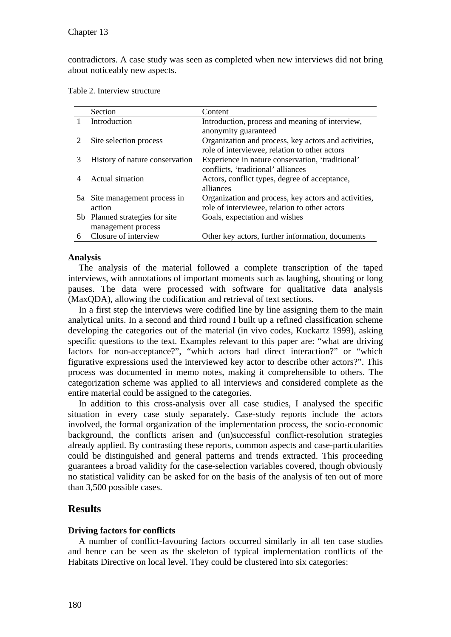contradictors. A case study was seen as completed when new interviews did not bring about noticeably new aspects.

Table 2. Interview structure

|   | Section                                              | Content                                                                                               |
|---|------------------------------------------------------|-------------------------------------------------------------------------------------------------------|
|   | Introduction                                         | Introduction, process and meaning of interview,<br>anonymity guaranteed                               |
|   | Site selection process                               | Organization and process, key actors and activities,<br>role of interviewee, relation to other actors |
|   | History of nature conservation                       | Experience in nature conservation, 'traditional'<br>conflicts, 'traditional' alliances                |
|   | Actual situation                                     | Actors, conflict types, degree of acceptance,<br>alliances                                            |
|   | 5a Site management process in<br>action              | Organization and process, key actors and activities,<br>role of interviewee, relation to other actors |
|   | 5b Planned strategies for site<br>management process | Goals, expectation and wishes                                                                         |
| 6 | Closure of interview                                 | Other key actors, further information, documents                                                      |

## **Analysis**

The analysis of the material followed a complete transcription of the taped interviews, with annotations of important moments such as laughing, shouting or long pauses. The data were processed with software for qualitative data analysis (MaxQDA), allowing the codification and retrieval of text sections.

In a first step the interviews were codified line by line assigning them to the main analytical units. In a second and third round I built up a refined classification scheme developing the categories out of the material (in vivo codes, Kuckartz 1999), asking specific questions to the text. Examples relevant to this paper are: "what are driving factors for non-acceptance?", "which actors had direct interaction?" or "which figurative expressions used the interviewed key actor to describe other actors?". This process was documented in memo notes, making it comprehensible to others. The categorization scheme was applied to all interviews and considered complete as the entire material could be assigned to the categories.

In addition to this cross-analysis over all case studies, I analysed the specific situation in every case study separately. Case-study reports include the actors involved, the formal organization of the implementation process, the socio-economic background, the conflicts arisen and (un)successful conflict-resolution strategies already applied. By contrasting these reports, common aspects and case-particularities could be distinguished and general patterns and trends extracted. This proceeding guarantees a broad validity for the case-selection variables covered, though obviously no statistical validity can be asked for on the basis of the analysis of ten out of more than 3,500 possible cases.

## **Results**

## **Driving factors for conflicts**

A number of conflict-favouring factors occurred similarly in all ten case studies and hence can be seen as the skeleton of typical implementation conflicts of the Habitats Directive on local level. They could be clustered into six categories: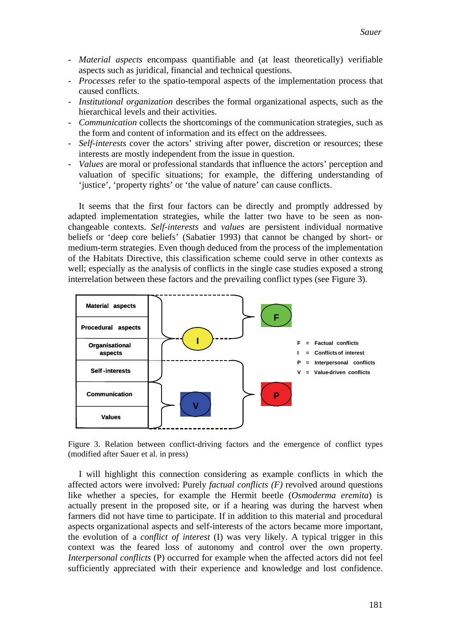- *Material aspects* encompass quantifiable and (at least theoretically) verifiable aspects such as juridical, financial and technical questions.
- *Processes* refer to the spatio-temporal aspects of the implementation process that caused conflicts.
- *Institutional organization* describes the formal organizational aspects, such as the hierarchical levels and their activities.
- *Communication* collects the shortcomings of the communication strategies, such as the form and content of information and its effect on the addressees.
- *Self-interests* cover the actors' striving after power, discretion or resources; these interests are mostly independent from the issue in question.
- *Values* are moral or professional standards that influence the actors' perception and valuation of specific situations; for example, the differing understanding of 'justice', 'property rights' or 'the value of nature' can cause conflicts.

It seems that the first four factors can be directly and promptly addressed by adapted implementation strategies, while the latter two have to be seen as nonchangeable contexts. *Self-interests* and *values* are persistent individual normative beliefs or 'deep core beliefs' (Sabatier 1993) that cannot be changed by short- or medium-term strategies. Even though deduced from the process of the implementation of the Habitats Directive, this classification scheme could serve in other contexts as well; especially as the analysis of conflicts in the single case studies exposed a strong interrelation between these factors and the prevailing conflict types (see Figure 3).



Figure 3. Relation between conflict-driving factors and the emergence of conflict types (modified after Sauer et al. in press)

I will highlight this connection considering as example conflicts in which the affected actors were involved: Purely *factual conflicts (F)* revolved around questions like whether a species, for example the Hermit beetle (*Osmoderma eremita*) is actually present in the proposed site, or if a hearing was during the harvest when farmers did not have time to participate. If in addition to this material and procedural aspects organizational aspects and self-interests of the actors became more important, the evolution of a *conflict of interest* (I) was very likely. A typical trigger in this context was the feared loss of autonomy and control over the own property. *Interpersonal conflicts* (P) occurred for example when the affected actors did not feel sufficiently appreciated with their experience and knowledge and lost confidence.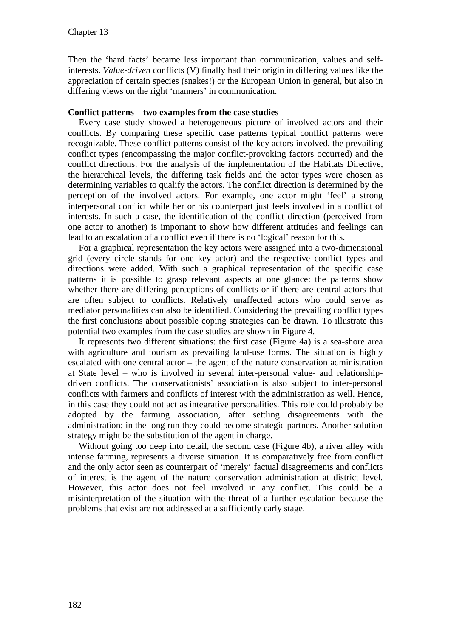Then the 'hard facts' became less important than communication, values and selfinterests. *Value-driven* conflicts (V) finally had their origin in differing values like the appreciation of certain species (snakes!) or the European Union in general, but also in differing views on the right 'manners' in communication.

## **Conflict patterns – two examples from the case studies**

Every case study showed a heterogeneous picture of involved actors and their conflicts. By comparing these specific case patterns typical conflict patterns were recognizable. These conflict patterns consist of the key actors involved, the prevailing conflict types (encompassing the major conflict-provoking factors occurred) and the conflict directions. For the analysis of the implementation of the Habitats Directive, the hierarchical levels, the differing task fields and the actor types were chosen as determining variables to qualify the actors. The conflict direction is determined by the perception of the involved actors. For example, one actor might 'feel' a strong interpersonal conflict while her or his counterpart just feels involved in a conflict of interests. In such a case, the identification of the conflict direction (perceived from one actor to another) is important to show how different attitudes and feelings can lead to an escalation of a conflict even if there is no 'logical' reason for this.

For a graphical representation the key actors were assigned into a two-dimensional grid (every circle stands for one key actor) and the respective conflict types and directions were added. With such a graphical representation of the specific case patterns it is possible to grasp relevant aspects at one glance: the patterns show whether there are differing perceptions of conflicts or if there are central actors that are often subject to conflicts. Relatively unaffected actors who could serve as mediator personalities can also be identified. Considering the prevailing conflict types the first conclusions about possible coping strategies can be drawn. To illustrate this potential two examples from the case studies are shown in Figure 4.

It represents two different situations: the first case (Figure 4a) is a sea-shore area with agriculture and tourism as prevailing land-use forms. The situation is highly escalated with one central actor – the agent of the nature conservation administration at State level – who is involved in several inter-personal value- and relationshipdriven conflicts. The conservationists' association is also subject to inter-personal conflicts with farmers and conflicts of interest with the administration as well. Hence, in this case they could not act as integrative personalities. This role could probably be adopted by the farming association, after settling disagreements with the administration; in the long run they could become strategic partners. Another solution strategy might be the substitution of the agent in charge.

Without going too deep into detail, the second case (Figure 4b), a river alley with intense farming, represents a diverse situation. It is comparatively free from conflict and the only actor seen as counterpart of 'merely' factual disagreements and conflicts of interest is the agent of the nature conservation administration at district level. However, this actor does not feel involved in any conflict. This could be a misinterpretation of the situation with the threat of a further escalation because the problems that exist are not addressed at a sufficiently early stage.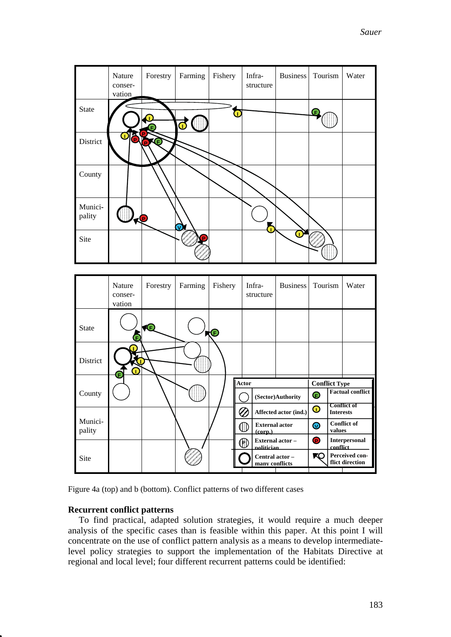*Sauer*

|                   | Nature<br>conser-<br>vation | Forestry  | Farming | Fishery | Infra-<br>structure | <b>Business</b> | Tourism | Water |
|-------------------|-----------------------------|-----------|---------|---------|---------------------|-----------------|---------|-------|
| State             |                             |           | u       |         |                     |                 | Œ       |       |
| District          | 0<br><b>Q</b>               | FKE       |         |         |                     |                 |         |       |
| County            |                             |           |         |         |                     |                 |         |       |
| Munici-<br>pality |                             | $\bullet$ | V       |         |                     |                 |         |       |
| Site              |                             |           |         |         |                     |                 |         |       |



Figure 4a (top) and b (bottom). Conflict patterns of two different cases

#### **Recurrent conflict patterns**

To find practical, adapted solution strategies, it would require a much deeper analysis of the specific cases than is feasible within this paper. At this point I will concentrate on the use of conflict pattern analysis as a means to develop intermediatelevel policy strategies to support the implementation of the Habitats Directive at regional and local level; four different recurrent patterns could be identified: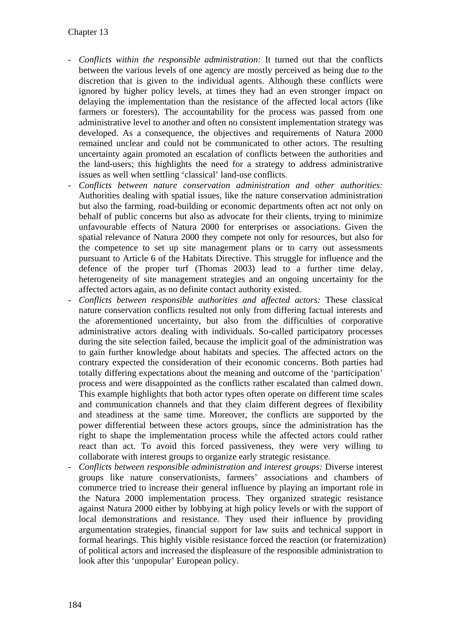- *Conflicts within the responsible administration:* It turned out that the conflicts between the various levels of one agency are mostly perceived as being due to the discretion that is given to the individual agents. Although these conflicts were ignored by higher policy levels, at times they had an even stronger impact on delaying the implementation than the resistance of the affected local actors (like farmers or foresters). The accountability for the process was passed from one administrative level to another and often no consistent implementation strategy was developed. As a consequence, the objectives and requirements of Natura 2000 remained unclear and could not be communicated to other actors. The resulting uncertainty again promoted an escalation of conflicts between the authorities and the land-users; this highlights the need for a strategy to address administrative issues as well when settling 'classical' land-use conflicts.
- *Conflicts between nature conservation administration and other authorities:*  Authorities dealing with spatial issues, like the nature conservation administration but also the farming, road-building or economic departments often act not only on behalf of public concerns but also as advocate for their clients, trying to minimize unfavourable effects of Natura 2000 for enterprises or associations. Given the spatial relevance of Natura 2000 they compete not only for resources, but also for the competence to set up site management plans or to carry out assessments pursuant to Article 6 of the Habitats Directive. This struggle for influence and the defence of the proper turf (Thomas 2003) lead to a further time delay, heterogeneity of site management strategies and an ongoing uncertainty for the affected actors again, as no definite contact authority existed.
- *Conflicts between responsible authorities and affected actors:* These classical nature conservation conflicts resulted not only from differing factual interests and the aforementioned uncertainty, but also from the difficulties of corporative administrative actors dealing with individuals. So-called participatory processes during the site selection failed, because the implicit goal of the administration was to gain further knowledge about habitats and species. The affected actors on the contrary expected the consideration of their economic concerns. Both parties had totally differing expectations about the meaning and outcome of the 'participation' process and were disappointed as the conflicts rather escalated than calmed down. This example highlights that both actor types often operate on different time scales and communication channels and that they claim different degrees of flexibility and steadiness at the same time. Moreover, the conflicts are supported by the power differential between these actors groups, since the administration has the right to shape the implementation process while the affected actors could rather react than act. To avoid this forced passiveness, they were very willing to collaborate with interest groups to organize early strategic resistance.
- *Conflicts between responsible administration and interest groups:* Diverse interest groups like nature conservationists, farmers' associations and chambers of commerce tried to increase their general influence by playing an important role in the Natura 2000 implementation process. They organized strategic resistance against Natura 2000 either by lobbying at high policy levels or with the support of local demonstrations and resistance. They used their influence by providing argumentation strategies, financial support for law suits and technical support in formal hearings. This highly visible resistance forced the reaction (or fraternization) of political actors and increased the displeasure of the responsible administration to look after this 'unpopular' European policy.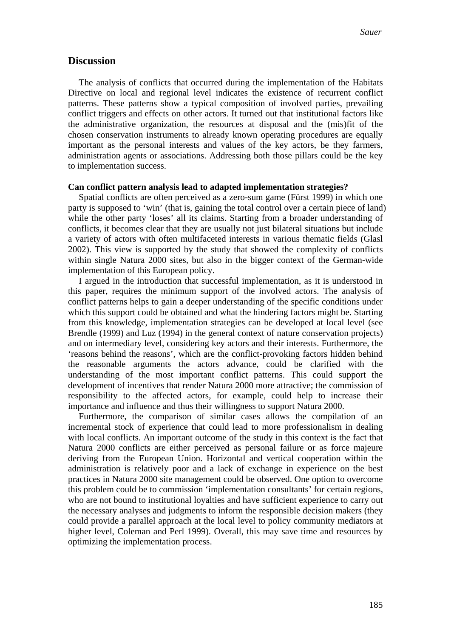## **Discussion**

The analysis of conflicts that occurred during the implementation of the Habitats Directive on local and regional level indicates the existence of recurrent conflict patterns. These patterns show a typical composition of involved parties, prevailing conflict triggers and effects on other actors. It turned out that institutional factors like the administrative organization, the resources at disposal and the (mis)fit of the chosen conservation instruments to already known operating procedures are equally important as the personal interests and values of the key actors, be they farmers, administration agents or associations. Addressing both those pillars could be the key to implementation success.

#### **Can conflict pattern analysis lead to adapted implementation strategies?**

Spatial conflicts are often perceived as a zero-sum game (Fürst 1999) in which one party is supposed to 'win' (that is, gaining the total control over a certain piece of land) while the other party 'loses' all its claims. Starting from a broader understanding of conflicts, it becomes clear that they are usually not just bilateral situations but include a variety of actors with often multifaceted interests in various thematic fields (Glasl 2002). This view is supported by the study that showed the complexity of conflicts within single Natura 2000 sites, but also in the bigger context of the German-wide implementation of this European policy.

I argued in the introduction that successful implementation, as it is understood in this paper, requires the minimum support of the involved actors. The analysis of conflict patterns helps to gain a deeper understanding of the specific conditions under which this support could be obtained and what the hindering factors might be. Starting from this knowledge, implementation strategies can be developed at local level (see Brendle (1999) and Luz (1994) in the general context of nature conservation projects) and on intermediary level, considering key actors and their interests. Furthermore, the 'reasons behind the reasons', which are the conflict-provoking factors hidden behind the reasonable arguments the actors advance, could be clarified with the understanding of the most important conflict patterns. This could support the development of incentives that render Natura 2000 more attractive; the commission of responsibility to the affected actors, for example, could help to increase their importance and influence and thus their willingness to support Natura 2000.

Furthermore, the comparison of similar cases allows the compilation of an incremental stock of experience that could lead to more professionalism in dealing with local conflicts. An important outcome of the study in this context is the fact that Natura 2000 conflicts are either perceived as personal failure or as force majeure deriving from the European Union. Horizontal and vertical cooperation within the administration is relatively poor and a lack of exchange in experience on the best practices in Natura 2000 site management could be observed. One option to overcome this problem could be to commission 'implementation consultants' for certain regions, who are not bound to institutional loyalties and have sufficient experience to carry out the necessary analyses and judgments to inform the responsible decision makers (they could provide a parallel approach at the local level to policy community mediators at higher level, Coleman and Perl 1999). Overall, this may save time and resources by optimizing the implementation process.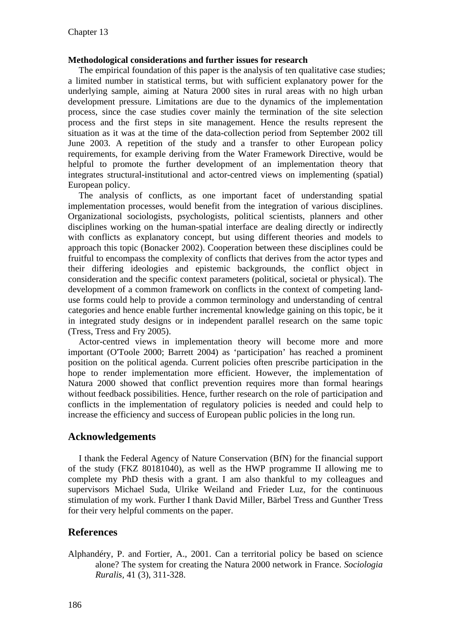## **Methodological considerations and further issues for research**

The empirical foundation of this paper is the analysis of ten qualitative case studies; a limited number in statistical terms, but with sufficient explanatory power for the underlying sample, aiming at Natura 2000 sites in rural areas with no high urban development pressure. Limitations are due to the dynamics of the implementation process, since the case studies cover mainly the termination of the site selection process and the first steps in site management. Hence the results represent the situation as it was at the time of the data-collection period from September 2002 till June 2003. A repetition of the study and a transfer to other European policy requirements, for example deriving from the Water Framework Directive, would be helpful to promote the further development of an implementation theory that integrates structural-institutional and actor-centred views on implementing (spatial) European policy.

The analysis of conflicts, as one important facet of understanding spatial implementation processes, would benefit from the integration of various disciplines. Organizational sociologists, psychologists, political scientists, planners and other disciplines working on the human-spatial interface are dealing directly or indirectly with conflicts as explanatory concept, but using different theories and models to approach this topic (Bonacker 2002). Cooperation between these disciplines could be fruitful to encompass the complexity of conflicts that derives from the actor types and their differing ideologies and epistemic backgrounds, the conflict object in consideration and the specific context parameters (political, societal or physical). The development of a common framework on conflicts in the context of competing landuse forms could help to provide a common terminology and understanding of central categories and hence enable further incremental knowledge gaining on this topic, be it in integrated study designs or in independent parallel research on the same topic (Tress, Tress and Fry 2005).

Actor-centred views in implementation theory will become more and more important (O'Toole 2000; Barrett 2004) as 'participation' has reached a prominent position on the political agenda. Current policies often prescribe participation in the hope to render implementation more efficient. However, the implementation of Natura 2000 showed that conflict prevention requires more than formal hearings without feedback possibilities. Hence, further research on the role of participation and conflicts in the implementation of regulatory policies is needed and could help to increase the efficiency and success of European public policies in the long run.

# **Acknowledgements**

I thank the Federal Agency of Nature Conservation (BfN) for the financial support of the study (FKZ 80181040), as well as the HWP programme II allowing me to complete my PhD thesis with a grant. I am also thankful to my colleagues and supervisors Michael Suda, Ulrike Weiland and Frieder Luz, for the continuous stimulation of my work. Further I thank David Miller, Bärbel Tress and Gunther Tress for their very helpful comments on the paper.

# **References**

Alphandéry, P. and Fortier, A., 2001. Can a territorial policy be based on science alone? The system for creating the Natura 2000 network in France. *Sociologia Ruralis,* 41 (3), 311-328.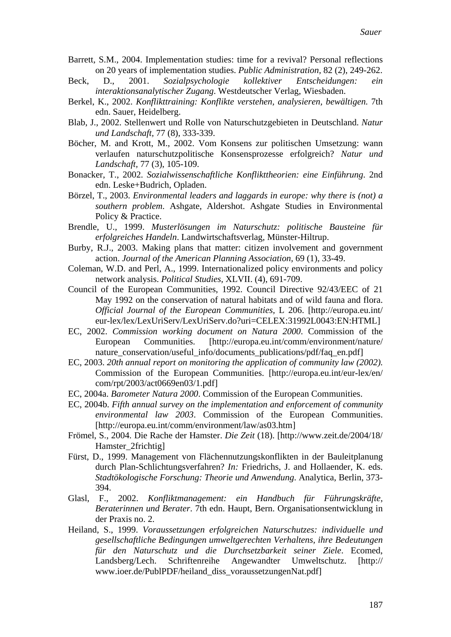- Barrett, S.M., 2004. Implementation studies: time for a revival? Personal reflections on 20 years of implementation studies. *Public Administration,* 82 (2), 249-262.
- Beck, D., 2001. *Sozialpsychologie kollektiver Entscheidungen: ein interaktionsanalytischer Zugang*. Westdeutscher Verlag, Wiesbaden.
- Berkel, K., 2002. *Konflikttraining: Konflikte verstehen, analysieren, bewältigen*. 7th edn. Sauer, Heidelberg.
- Blab, J., 2002. Stellenwert und Rolle von Naturschutzgebieten in Deutschland. *Natur und Landschaft,* 77 (8), 333-339.
- Böcher, M. and Krott, M., 2002. Vom Konsens zur politischen Umsetzung: wann verlaufen naturschutzpolitische Konsensprozesse erfolgreich? *Natur und Landschaft,* 77 (3), 105-109.
- Bonacker, T., 2002. *Sozialwissenschaftliche Konflikttheorien: eine Einführung*. 2nd edn. Leske+Budrich, Opladen.
- Börzel, T., 2003. *Environmental leaders and laggards in europe: why there is (not) a southern problem*. Ashgate, Aldershot. Ashgate Studies in Environmental Policy & Practice.
- Brendle, U., 1999. *Musterlösungen im Naturschutz: politische Bausteine für erfolgreiches Handeln*. Landwirtschaftsverlag, Münster-Hiltrup.
- Burby, R.J., 2003. Making plans that matter: citizen involvement and government action. *Journal of the American Planning Association,* 69 (1), 33-49.
- Coleman, W.D. and Perl, A., 1999. Internationalized policy environments and policy network analysis. *Political Studies,* XLVII. (4), 691-709.
- Council of the European Communities, 1992. Council Directive 92/43/EEC of 21 May 1992 on the conservation of natural habitats and of wild fauna and flora. *Official Journal of the European Communities,* L 206. [http://europa.eu.int/ eur-lex/lex/LexUriServ/LexUriServ.do?uri=CELEX:31992L0043:EN:HTML]
- EC, 2002. *Commission working document on Natura 2000*. Commission of the European Communities. [http://europa.eu.int/comm/environment/nature/ nature\_conservation/useful\_info/documents\_publications/pdf/faq\_en.pdf]
- EC, 2003. *20th annual report on monitoring the application of community law (2002)*. Commission of the European Communities. [http://europa.eu.int/eur-lex/en/ com/rpt/2003/act0669en03/1.pdf]
- EC, 2004a. *Barometer Natura 2000*. Commission of the European Communities.
- EC, 2004b. *Fifth annual survey on the implementation and enforcement of community environmental law 2003*. Commission of the European Communities. [http://europa.eu.int/comm/environment/law/as03.htm]
- Frömel, S., 2004. Die Rache der Hamster. *Die Zeit* (18). [http://www.zeit.de/2004/18/ Hamster 2frichtig]
- Fürst, D., 1999. Management von Flächennutzungskonflikten in der Bauleitplanung durch Plan-Schlichtungsverfahren? *In:* Friedrichs, J. and Hollaender, K. eds. *Stadtökologische Forschung: Theorie und Anwendung*. Analytica, Berlin, 373- 394.
- Glasl, F., 2002. *Konfliktmanagement: ein Handbuch für Führungskräfte, Beraterinnen und Berater*. 7th edn. Haupt, Bern. Organisationsentwicklung in der Praxis no. 2.
- Heiland, S., 1999. *Voraussetzungen erfolgreichen Naturschutzes: individuelle und gesellschaftliche Bedingungen umweltgerechten Verhaltens, ihre Bedeutungen für den Naturschutz und die Durchsetzbarkeit seiner Ziele*. Ecomed, Landsberg/Lech. Schriftenreihe Angewandter Umweltschutz. [http:// www.ioer.de/PublPDF/heiland\_diss\_voraussetzungenNat.pdf]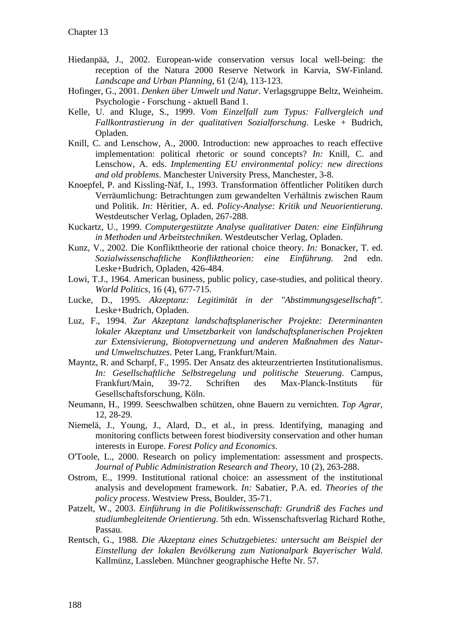- Hiedanpää, J., 2002. European-wide conservation versus local well-being: the reception of the Natura 2000 Reserve Network in Karvia, SW-Finland. *Landscape and Urban Planning,* 61 (2/4), 113-123.
- Hofinger, G., 2001. *Denken über Umwelt und Natur*. Verlagsgruppe Beltz, Weinheim. Psychologie - Forschung - aktuell Band 1.
- Kelle, U. and Kluge, S., 1999. *Vom Einzelfall zum Typus: Fallvergleich und Fallkontrastierung in der qualitativen Sozialforschung*. Leske + Budrich, Opladen.
- Knill, C. and Lenschow, A., 2000. Introduction: new approaches to reach effective implementation: political rhetoric or sound concepts? *In:* Knill, C. and Lenschow, A. eds. *Implementing EU environmental policy: new directions and old problems*. Manchester University Press, Manchester, 3-8.
- Knoepfel, P. and Kissling-Näf, I., 1993. Transformation öffentlicher Politiken durch Verräumlichung: Betrachtungen zum gewandelten Verhältnis zwischen Raum und Politik. *In:* Hèritier, A. ed. *Policy-Analyse: Kritik und Neuorientierung*. Westdeutscher Verlag, Opladen, 267-288.
- Kuckartz, U., 1999. *Computergestützte Analyse qualitativer Daten: eine Einführung in Methoden und Arbeitstechniken*. Westdeutscher Verlag, Opladen.
- Kunz, V., 2002. Die Konflikttheorie der rational choice theory. *In:* Bonacker, T. ed. *Sozialwissenschaftliche Konflikttheorien: eine Einführung*. 2nd edn. Leske+Budrich, Opladen, 426-484.
- Lowi, T.J., 1964. American business, public policy, case-studies, and political theory. *World Politics,* 16 (4), 677-715.
- Lucke, D., 1995. *Akzeptanz: Legitimität in der "Abstimmungsgesellschaft"*. Leske+Budrich, Opladen.
- Luz, F., 1994. *Zur Akzeptanz landschaftsplanerischer Projekte: Determinanten lokaler Akzeptanz und Umsetzbarkeit von landschaftsplanerischen Projekten zur Extensivierung, Biotopvernetzung und anderen Maßnahmen des Naturund Umweltschutzes*. Peter Lang, Frankfurt/Main.
- Mayntz, R. and Scharpf, F., 1995. Der Ansatz des akteurzentrierten Institutionalismus. *In: Gesellschaftliche Selbstregelung und politische Steuerung*. Campus, Frankfurt/Main, 39-72. Schriften des Max-Planck-Instituts für Gesellschaftsforschung, Köln.
- Neumann, H., 1999. Seeschwalben schützen, ohne Bauern zu vernichten. *Top Agrar,* 12, 28-29.
- Niemelä, J., Young, J., Alard, D., et al., in press. Identifying, managing and monitoring conflicts between forest biodiversity conservation and other human interests in Europe. *Forest Policy and Economics*.
- O'Toole, L., 2000. Research on policy implementation: assessment and prospects. *Journal of Public Administration Research and Theory,* 10 (2), 263-288.
- Ostrom, E., 1999. Institutional rational choice: an assessment of the institutional analysis and development framework. *In:* Sabatier, P.A. ed. *Theories of the policy process*. Westview Press, Boulder, 35-71.
- Patzelt, W., 2003. *Einführung in die Politikwissenschaft: Grundriß des Faches und studiumbegleitende Orientierung*. 5th edn. Wissenschaftsverlag Richard Rothe, Passau.
- Rentsch, G., 1988. *Die Akzeptanz eines Schutzgebietes: untersucht am Beispiel der Einstellung der lokalen Bevölkerung zum Nationalpark Bayerischer Wald*. Kallmünz, Lassleben. Münchner geographische Hefte Nr. 57.